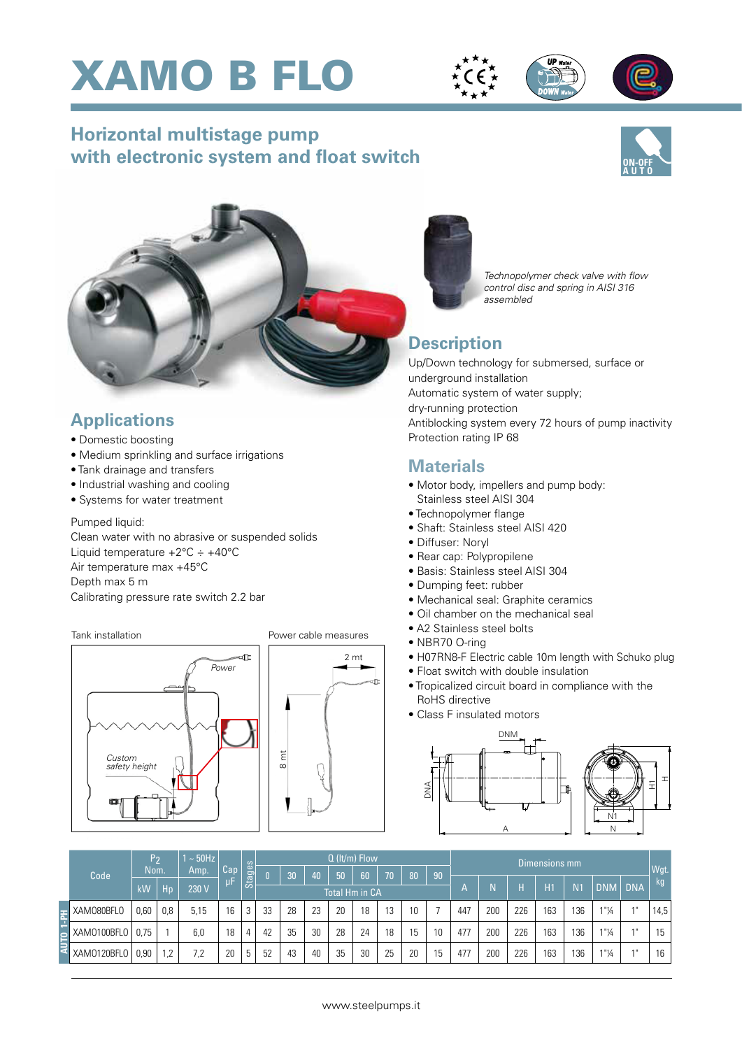





# **Horizontal multistage pump with electronic system and float switch**





# **Applications**

- Domestic boosting
- Medium sprinkling and surface irrigations
- Tank drainage and transfers
- Industrial washing and cooling
- Systems for water treatment

#### Pumped liquid:

Clean water with no abrasive or suspended solids Liquid temperature +2°C ÷ +40°C Air temperature max +45°C Depth max 5 m Calibrating pressure rate switch 2.2 bar

#### Tank installation



#### Power cable measures





## **Description**

Up/Down technology for submersed, surface or underground installation Automatic system of water supply; dry-running protection Antiblocking system every 72 hours of pump inactivity Protection rating IP 68

## **Materials**

- Motor body, impellers and pump body: Stainless steel AISI 304
- Technopolymer flange
- Shaft: Stainless steel AISI 420
- Diffuser: Noryl
- Rear cap: Polypropilene
- Basis: Stainless steel AISI 304
- Dumping feet: rubber
- Mechanical seal: Graphite ceramics
- Oil chamber on the mechanical seal
- A2 Stainless steel bolts
- NBR70 O-ring
- H07RN8-F Electric cable 10m length with Schuko plug
- Float switch with double insulation
- Tropicalized circuit board in compliance with the RoHS directive
- Class F insulated motors



|  | Code        | P <sub>2</sub><br><b>Nom</b> |     | $\sim$ 50Hz<br>Amp. | Cap | $\circ$<br><b>Stages</b> | $Q$ (It/m) Flow |                 |    |    |    |    |                 |    | Dimensions mm |     |     |     |                |                      |        |      |
|--|-------------|------------------------------|-----|---------------------|-----|--------------------------|-----------------|-----------------|----|----|----|----|-----------------|----|---------------|-----|-----|-----|----------------|----------------------|--------|------|
|  |             |                              |     |                     |     |                          |                 | $\overline{30}$ | 40 | 50 | 60 | 70 | 80              | 90 |               |     |     |     |                |                      |        | Wgt. |
|  |             | kW                           | Hp  | 230 V               | μF  |                          | Total Hm in CA  |                 |    |    |    |    |                 |    | ÆV            |     | н   | H1  | N <sub>1</sub> | <b>DNM</b>           | DNA    | kg   |
|  | XAM080BFL0  | 0,60                         | 0,8 | 5,15                | 16  | 3                        | 33              | 28              | 23 | 20 | 18 | 13 | 10 <sup>°</sup> |    | 447           | 200 | 226 | 163 | 136            | $1"$ <sup>1</sup> /4 | $A$ II | 14,5 |
|  | XAM0100BFL0 | 0,75                         |     | 6,0                 | 18  |                          | 42              | 35              | 30 | 28 | 24 | 18 | 15              | 10 | 477           | 200 | 226 | 163 | 136            | 1"14                 | $A$ II | 15   |
|  | XAM0120BFL0 | 0,90                         | 1.2 | 7,2                 | 20  | г.                       | 52              | 43              | 40 | 35 | 30 | 25 | 20              | 15 | 477           | 200 | 226 | 163 | 136            | $1"$ <sup>1</sup> /4 | $A$ II | 16   |